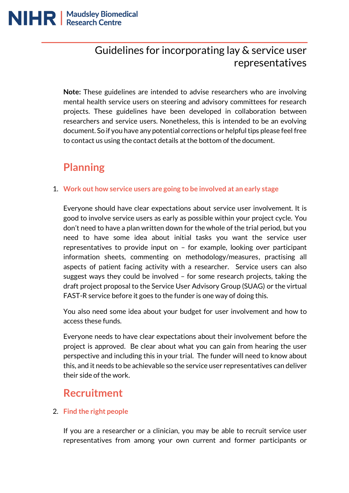## Guidelines for incorporating lay & service user representatives

**Note:** These guidelines are intended to advise researchers who are involving mental health service users on steering and advisory committees for research projects. These guidelines have been developed in collaboration between researchers and service users. Nonetheless, this is intended to be an evolving document. So if you have any potential corrections or helpful tips please feel free to contact us using the contact details at the bottom of the document.

## **Planning**

#### 1. **Work out how service users are going to be involved at an early stage**

Everyone should have clear expectations about service user involvement. It is good to involve service users as early as possible within your project cycle. You don't need to have a plan written down for the whole of the trial period, but you need to have some idea about initial tasks you want the service user representatives to provide input on – for example, looking over participant information sheets, commenting on methodology/measures, practising all aspects of patient facing activity with a researcher. Service users can also suggest ways they could be involved – for some research projects, taking the draft project proposal to the Service User Advisory Group (SUAG) or the virtual FAST-R service before it goes to the funder is one way of doing this.

You also need some idea about your budget for user involvement and how to access these funds.

Everyone needs to have clear expectations about their involvement before the project is approved. Be clear about what you can gain from hearing the user perspective and including this in your trial. The funder will need to know about this, and it needs to be achievable so the service user representatives can deliver their side of the work.

### **Recruitment**

#### 2. **Find the right people**

If you are a researcher or a clinician, you may be able to recruit service user representatives from among your own current and former participants or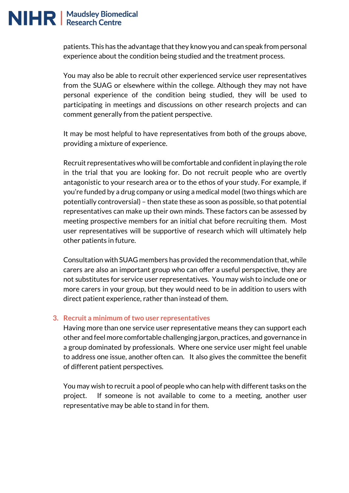

patients. This has the advantage that they know you and can speak from personal experience about the condition being studied and the treatment process.

You may also be able to recruit other experienced service user representatives from the SUAG or elsewhere within the college. Although they may not have personal experience of the condition being studied, they will be used to participating in meetings and discussions on other research projects and can comment generally from the patient perspective.

It may be most helpful to have representatives from both of the groups above, providing a mixture of experience.

Recruit representatives who will be comfortable and confident in playing the role in the trial that you are looking for. Do not recruit people who are overtly antagonistic to your research area or to the ethos of your study. For example, if you're funded by a drug company or using a medical model (two things which are potentially controversial) – then state these as soon as possible, so that potential representatives can make up their own minds. These factors can be assessed by meeting prospective members for an initial chat before recruiting them. Most user representatives will be supportive of research which will ultimately help other patients in future.

Consultation with SUAG members has provided the recommendation that, while carers are also an important group who can offer a useful perspective, they are not substitutes for service user representatives. You may wish to include one or more carers in your group, but they would need to be in addition to users with direct patient experience, rather than instead of them.

#### **3. Recruit a minimum of two user representatives**

Having more than one service user representative means they can support each other and feel more comfortable challenging jargon, practices, and governance in a group dominated by professionals. Where one service user might feel unable to address one issue, another often can. It also gives the committee the benefit of different patient perspectives.

You may wish to recruit a pool of people who can help with different tasks on the project. If someone is not available to come to a meeting, another user representative may be able to stand in for them.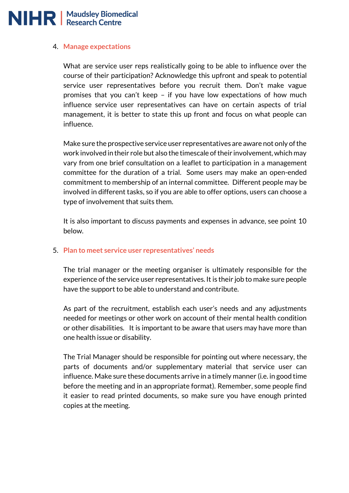

#### 4. **Manage expectations**

What are service user reps realistically going to be able to influence over the course of their participation? Acknowledge this upfront and speak to potential service user representatives before you recruit them. Don't make vague promises that you can't keep – if you have low expectations of how much influence service user representatives can have on certain aspects of trial management, it is better to state this up front and focus on what people can influence.

Make sure the prospective service user representatives are aware not only of the work involved in their role but also the timescale of their involvement, which may vary from one brief consultation on a leaflet to participation in a management committee for the duration of a trial. Some users may make an open-ended commitment to membership of an internal committee. Different people may be involved in different tasks, so if you are able to offer options, users can choose a type of involvement that suits them.

It is also important to discuss payments and expenses in advance, see point 10 below.

#### 5. **Plan to meet service user representatives' needs**

The trial manager or the meeting organiser is ultimately responsible for the experience of the service user representatives. It is their job to make sure people have the support to be able to understand and contribute.

As part of the recruitment, establish each user's needs and any adjustments needed for meetings or other work on account of their mental health condition or other disabilities. It is important to be aware that users may have more than one health issue or disability.

The Trial Manager should be responsible for pointing out where necessary, the parts of documents and/or supplementary material that service user can influence. Make sure these documents arrive in a timely manner (i.e. in good time before the meeting and in an appropriate format). Remember, some people find it easier to read printed documents, so make sure you have enough printed copies at the meeting.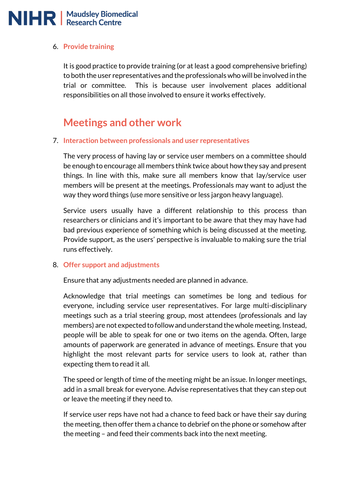# NIHR | Maudsley Biomedical

#### 6. **Provide training**

It is good practice to provide training (or at least a good comprehensive briefing) to both the user representatives and the professionals who will be involved in the trial or committee. This is because user involvement places additional responsibilities on all those involved to ensure it works effectively.

### **Meetings and other work**

#### 7. **Interaction between professionals and user representatives**

The very process of having lay or service user members on a committee should be enough to encourage all members think twice about how they say and present things. In line with this, make sure all members know that lay/service user members will be present at the meetings. Professionals may want to adjust the way they word things (use more sensitive or less jargon heavy language).

Service users usually have a different relationship to this process than researchers or clinicians and it's important to be aware that they may have had bad previous experience of something which is being discussed at the meeting. Provide support, as the users' perspective is invaluable to making sure the trial runs effectively.

#### 8. **Offer support and adjustments**

Ensure that any adjustments needed are planned in advance.

Acknowledge that trial meetings can sometimes be long and tedious for everyone, including service user representatives. For large multi-disciplinary meetings such as a trial steering group, most attendees (professionals and lay members) are not expected to follow and understand the whole meeting. Instead, people will be able to speak for one or two items on the agenda. Often, large amounts of paperwork are generated in advance of meetings. Ensure that you highlight the most relevant parts for service users to look at, rather than expecting them to read it all.

The speed or length of time of the meeting might be an issue. In longer meetings, add in a small break for everyone. Advise representatives that they can step out or leave the meeting if they need to.

If service user reps have not had a chance to feed back or have their say during the meeting, then offer them a chance to debrief on the phone or somehow after the meeting – and feed their comments back into the next meeting.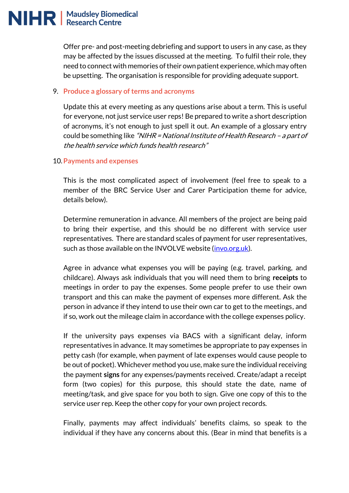Offer pre- and post-meeting debriefing and support to users in any case, as they may be affected by the issues discussed at the meeting. To fulfil their role, they need to connect with memories of their own patient experience, which may often be upsetting. The organisation is responsible for providing adequate support.

#### 9. **Produce a glossary of terms and acronyms**

Update this at every meeting as any questions arise about a term. This is useful for everyone, not just service user reps! Be prepared to write a short description of acronyms, it's not enough to just spell it out. An example of a glossary entry could be something like "NIHR = National Institute of Health Research - a part of the health service which funds health research"

#### 10.**Payments and expenses**

This is the most complicated aspect of involvement (feel free to speak to a member of the BRC Service User and Carer Participation theme for advice, details below).

Determine remuneration in advance. All members of the project are being paid to bring their expertise, and this should be no different with service user representatives. There are standard scales of payment for user representatives, such as those available on the INVOLVE website [\(invo.org.uk\)](http://www.invo.org.uk/).

Agree in advance what expenses you will be paying (e.g. travel, parking, and childcare). Always ask individuals that you will need them to bring **receipts** to meetings in order to pay the expenses. Some people prefer to use their own transport and this can make the payment of expenses more different. Ask the person in advance if they intend to use their own car to get to the meetings, and if so, work out the mileage claim in accordance with the college expenses policy.

If the university pays expenses via BACS with a significant delay, inform representatives in advance. It may sometimes be appropriate to pay expenses in petty cash (for example, when payment of late expenses would cause people to be out of pocket). Whichever method you use, make sure the individual receiving the payment **signs** for any expenses/payments received. Create/adapt a receipt form (two copies) for this purpose, this should state the date, name of meeting/task, and give space for you both to sign. Give one copy of this to the service user rep. Keep the other copy for your own project records.

Finally, payments may affect individuals' benefits claims, so speak to the individual if they have any concerns about this. (Bear in mind that benefits is a